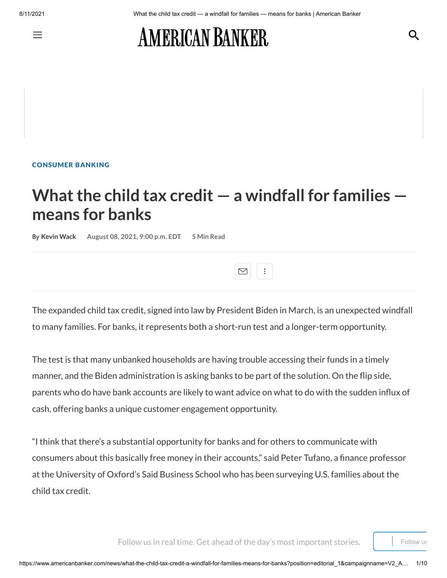Q

# **AMERICAN BANKER**

[CONSUMER](https://www.americanbanker.com/consumer-banking) BANKING

## **What the child tax credit — a windfall for families means for banks**

**By Kevin [Wack](https://www.americanbanker.com/author/kevin-wack) August 08, 2021, 9:00 p.m. EDT 5 Min Read**



The expanded child tax credit, signed into law by President Biden in March, is an unexpected windfall to many families. For banks, it represents both a short-run test and a longer-term opportunity.

The test is that many unbanked households are having trouble accessing their funds in a timely manner, and the Biden administration is asking banks to be part of the solution. On the flip side, parents who do have bank accounts are likely to want advice on what to do with the sudden influx of cash, offering banks a unique customer engagement opportunity.

"I think that there's a substantial opportunity for banks and for others to communicate with consumers about this basically free money in their accounts," said Peter Tufano, a finance professor at the University of Oxford's Said Business School who has been surveying U.S. families about the child tax credit.

Follow us in real time. Get ahead of the day's most important stories.  $\|\cdot\|$  Follow us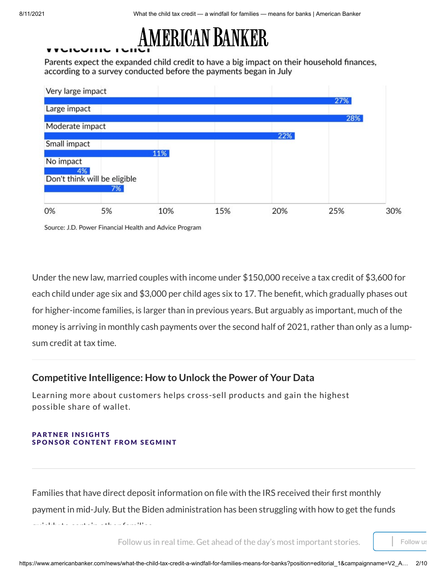

Parents expect the expanded child credit to have a big impact on their household finances, according to a survey conducted before the payments began in July



Source: J.D. Power Financial Health and Advice Program

Under the new law, married couples with income under \$150,000 receive a tax credit of \$3,600 for each child under age six and \$3,000 per child ages six to 17. The benefit, which gradually phases out for higher-income families, is larger than in previous years. But arguably as important, much of the money is arriving in monthly cash payments over the second half of 2021, rather than only as a lumpsum credit at tax time.

### **[Competitive](https://www.americanbanker.com/news/competitive-intelligence-how-to-unlock-the-power-of-your-data) Intelligence: How to Unlock the Power of Your Data**

Learning more about customers helps cross-sell products and gain the highest possible share of wallet.

#### [PA](https://segmint.com/solutions/?utm_source=AmericanBanker&utm_medium=Article2&utm_campaign=AB_Article2)RTNER INSIGHTS SPONSOR CONTENT FROM SEGMINT

Families that have direct deposit information on file with the IRS received their first monthly payment in mid-July. But the Biden administration has been struggling with how to get the funds quickly to certain other families. The coefficient  $\mathcal{L}_\mathcal{F}$ 

Follow us in real time. Get ahead of the day's most important stories.  $\vert \vert$  Follow us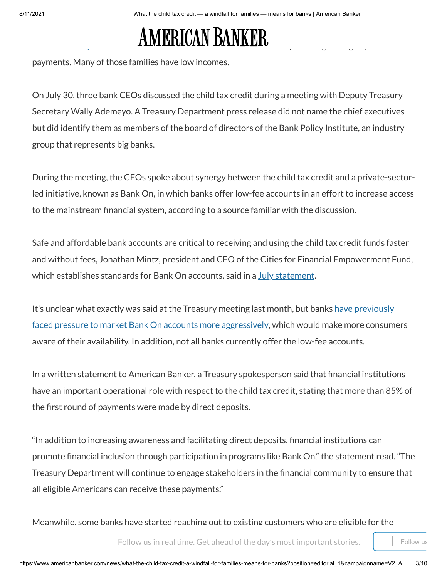### Last month, Democratic Sen. Ron Wyden of Oregon [demanded](https://www.huffpost.com/entry/child-tax-credit-non-filer-portal-ron-wyden-letter_n_60f8dafde4b0d1bafbfa568e) that the IRS fix technological issues with an [online](https://www.freefilefillableforms.com/#/fd/childtaxcredit) portal with a **nuithelives that did not file tax returns last year can go to sign up for the sig**

payments. Many of those families have low incomes.

On July 30, three bank CEOs discussed the child tax credit during a meeting with Deputy Treasury Secretary Wally Ademeyo. A Treasury Department press release did not name the chief executives but did identify them as members of the board of directors of the Bank Policy Institute, an industry group that represents big banks.

During the meeting, the CEOs spoke about synergy between the child tax credit and a private-sectorled initiative, known as Bank On, in which banks offer low-fee accounts in an effort to increase access to the mainstream financial system, according to a source familiar with the discussion.

Safe and affordable bank accounts are critical to receiving and using the child tax credit funds faster and without fees, Jonathan Mintz, president and CEO of the Cities for Financial Empowerment Fund, which establishes standards for Bank On accounts, said in a July [statement](https://www.prnewswire.com/news-releases/more-than-100-bank-on-nationally-certified-accounts-at-institutions-comprising-52-of-national-deposit-market-share-can-help-residents-receive-child-tax-credit-and-other-emergency-payments-301331553.html).

It's unclear what exactly was said at the Treasury meeting last month, but banks have previously [faced pressure](https://www.americanbanker.com/news/new-pressure-on-banks-to-offer-affordable-consumer-accounts) to market Bank On accounts more aggressively, which would make more consumers aware of their availability. In addition, not all banks currently offer the low-fee accounts.

In a written statement to American Banker, a Treasury spokesperson said that financial institutions have an important operational role with respect to the child tax credit, stating that more than 85% of the first round of payments were made by direct deposits.

"In addition to increasing awareness and facilitating direct deposits, financial institutions can promote financial inclusion through participation in programs like Bank On," the statement read. "The Treasury Department will continue to engage stakeholders in the financial community to ensure that all eligible Americans can receive these payments."

Meanwhile, some banks have started reaching out to existing customers who are eligible for the

Follow us in real time. Get ahead of the day's most important stories.  $\vert$  Follow us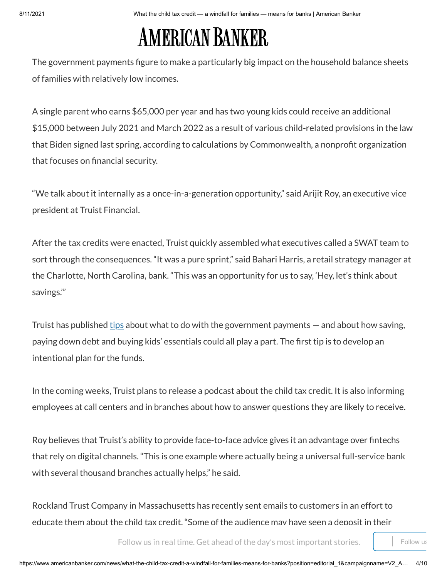# AMERICAN BANKER

The government payments figure to make a particularly big impact on the household balance sheets of families with relatively low incomes.

A single parent who earns \$65,000 per year and has two young kids could receive an additional \$15,000 between July 2021 and March 2022 as a result of various child-related provisions in the law that Biden signed last spring, according to calculations by Commonwealth, a nonprofit organization that focuses on financial security.

"We talk about it internally as a once-in-a-generation opportunity," said Arijit Roy, an executive vice president at Truist Financial.

After the tax credits were enacted, Truist quickly assembled what executives called a SWAT team to sort through the consequences. "It was a pure sprint," said Bahari Harris, a retail strategy manager at the Charlotte, North Carolina, bank. "This was an opportunity for us to say, 'Hey, let's think about savings.'"

Truist has published  $\underline{tips}$  about what to do with the government payments  $-$  and about how saving, paying down debt and buying kids' essentials could all play a part. The first tip is to develop an intentional plan for the funds.

In the coming weeks, Truist plans to release a podcast about the child tax credit. It is also informing employees at call centers and in branches about how to answer questions they are likely to receive.

Roy believes that Truist's ability to provide face-to-face advice gives it an advantage over fintechs that rely on digital channels. "This is one example where actually being a universal full-service bank with several thousand branches actually helps," he said.

Rockland Trust Company in Massachusetts has recently sent emails to customers in an effort to educate them about the child tax credit. "Some of the audience may have seen a deposit in their

Follow us in real time. Get ahead of the day's most important stories.  $\parallel$  Follow us